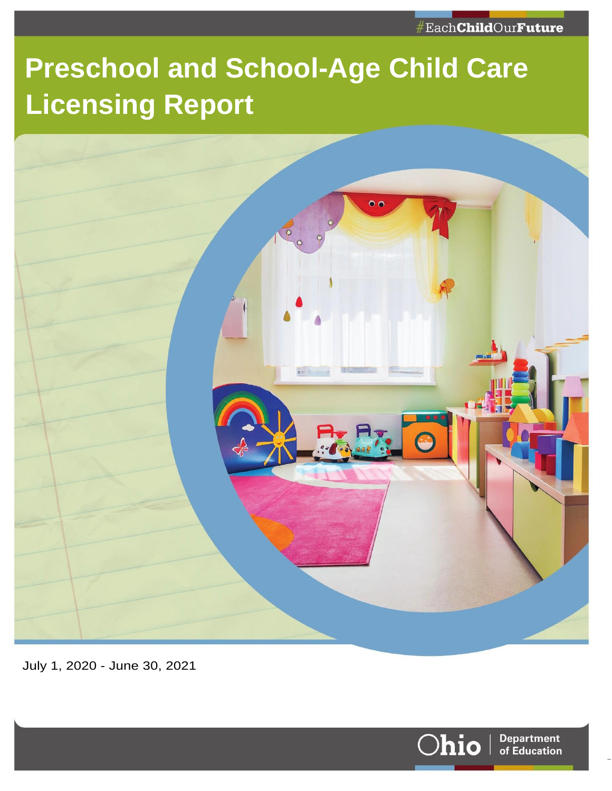# **Preschool and School-Age Child Care Licensing Report**



July 1, 2020 - June 30, 2021



Page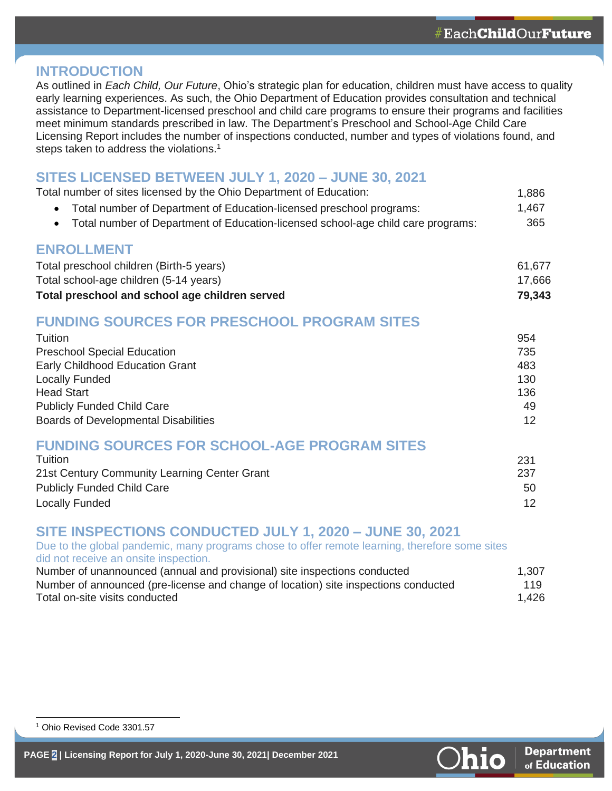#### **INTRODUCTION**

As outlined in *Each Child, Our Future*, Ohio's strategic plan for education, children must have access to quality early learning experiences. As such, the Ohio Department of Education provides consultation and technical assistance to Department-licensed preschool and child care programs to ensure their programs and facilities meet minimum standards prescribed in law. The Department's Preschool and School-Age Child Care Licensing Report includes the number of inspections conducted, number and types of violations found, and steps taken to address the violations.<sup>1</sup>

#### **SITES LICENSED BETWEEN JULY 1, 2020 – JUNE 30, 2021**

| Total number of sites licensed by the Ohio Department of Education:                           | 1,886  |
|-----------------------------------------------------------------------------------------------|--------|
| Total number of Department of Education-licensed preschool programs:                          | 1,467  |
| Total number of Department of Education-licensed school-age child care programs:<br>$\bullet$ | 365    |
| <b>ENROLLMENT</b>                                                                             |        |
| Total preschool children (Birth-5 years)                                                      | 61,677 |
| Total school-age children (5-14 years)                                                        | 17,666 |
| Total preschool and school age children served                                                | 79,343 |
| <b>FUNDING SOURCES FOR PRESCHOOL PROGRAM SITES</b>                                            |        |
| Tuition                                                                                       | 954    |
| <b>Preschool Special Education</b>                                                            | 735    |
| Early Childhood Education Grant                                                               | 483    |
| <b>Locally Funded</b>                                                                         | 130    |
| <b>Head Start</b>                                                                             | 136    |
| <b>Publicly Funded Child Care</b>                                                             | 49     |
| <b>Boards of Developmental Disabilities</b>                                                   | 12     |
| <b>FUNDING SOURCES FOR SCHOOL-AGE PROGRAM SITES</b>                                           |        |
| Tuition                                                                                       | 231    |
| 21st Century Community Learning Center Grant                                                  | 237    |
| <b>Publicly Funded Child Care</b>                                                             | 50     |

Locally Funded 12

#### **SITE INSPECTIONS CONDUCTED JULY 1, 2020 – JUNE 30, 2021**

Due to the global pandemic, many programs chose to offer remote learning, therefore some sites did not receive an onsite inspection. Number of unannounced (annual and provisional) site inspections conducted 1,307

| <b>Number of unamfounced (annual and provisional) site inspections conducted</b>    | 1.JU7 |
|-------------------------------------------------------------------------------------|-------|
| Number of announced (pre-license and change of location) site inspections conducted | 119   |
| Total on-site visits conducted                                                      | 1,426 |



<sup>1</sup> Ohio Revised Code 3301.57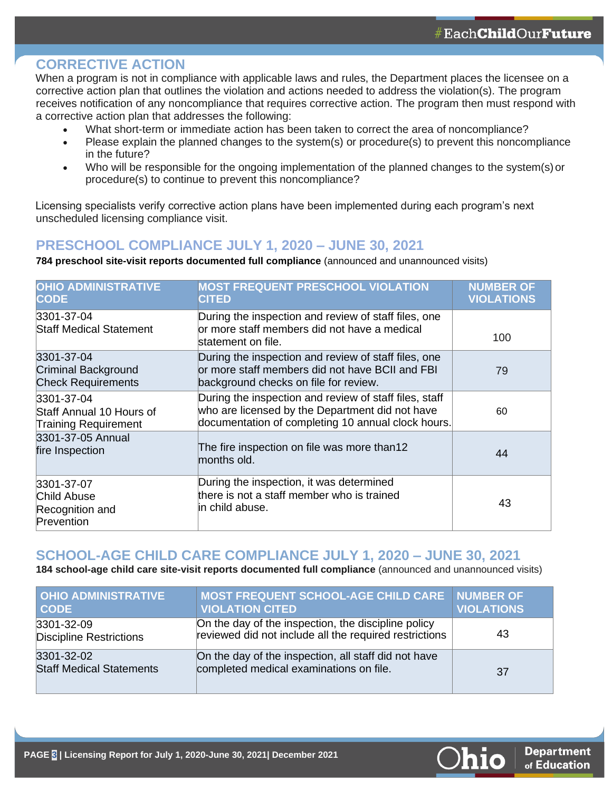#### **CORRECTIVE ACTION**

When a program is not in compliance with applicable laws and rules, the Department places the licensee on a corrective action plan that outlines the violation and actions needed to address the violation(s). The program receives notification of any noncompliance that requires corrective action. The program then must respond with a corrective action plan that addresses the following:

- What short-term or immediate action has been taken to correct the area of noncompliance?
- Please explain the planned changes to the system(s) or procedure(s) to prevent this noncompliance in the future?
- Who will be responsible for the ongoing implementation of the planned changes to the system(s)or procedure(s) to continue to prevent this noncompliance?

Licensing specialists verify corrective action plans have been implemented during each program's next unscheduled licensing compliance visit.

#### **PRESCHOOL COMPLIANCE JULY 1, 2020 – JUNE 30, 2021**

**784 preschool site-visit reports documented full compliance** (announced and unannounced visits)

| <b>OHIO ADMINISTRATIVE</b><br><b>CODE</b>                             | <b>MOST FREQUENT PRESCHOOL VIOLATION</b><br><b>CITED</b>                                                                                                        | <b>NUMBER OF</b><br><b>VIOLATIONS</b> |
|-----------------------------------------------------------------------|-----------------------------------------------------------------------------------------------------------------------------------------------------------------|---------------------------------------|
| 3301-37-04<br><b>Staff Medical Statement</b>                          | During the inspection and review of staff files, one<br>or more staff members did not have a medical<br>statement on file.                                      | 100                                   |
| 3301-37-04<br><b>Criminal Background</b><br><b>Check Requirements</b> | During the inspection and review of staff files, one<br>or more staff members did not have BCII and FBI<br>background checks on file for review.                | 79                                    |
| 3301-37-04<br>Staff Annual 10 Hours of<br><b>Training Requirement</b> | During the inspection and review of staff files, staff<br>who are licensed by the Department did not have<br>documentation of completing 10 annual clock hours. | 60                                    |
| 3301-37-05 Annual<br>fire Inspection                                  | The fire inspection on file was more than12<br>months old.                                                                                                      | 44                                    |
| 3301-37-07<br>Child Abuse<br>Recognition and<br>Prevention            | During the inspection, it was determined<br>there is not a staff member who is trained<br>lin child abuse.                                                      | 43                                    |

#### **SCHOOL-AGE CHILD CARE COMPLIANCE JULY 1, 2020 – JUNE 30, 2021**

**184 school-age child care site-visit reports documented full compliance** (announced and unannounced visits)

| <b>OHIO ADMINISTRATIVE</b><br><b>CODE</b>     | <b>MOST FREQUENT SCHOOL-AGE CHILD CARE NUMBER OF</b><br><b>VIOLATION CITED</b>                                | <b>VIOLATIONS</b> |
|-----------------------------------------------|---------------------------------------------------------------------------------------------------------------|-------------------|
| 3301-32-09<br><b>Discipline Restrictions</b>  | On the day of the inspection, the discipline policy<br>reviewed did not include all the required restrictions | 43                |
| 3301-32-02<br><b>Staff Medical Statements</b> | On the day of the inspection, all staff did not have<br>completed medical examinations on file.               | 37                |

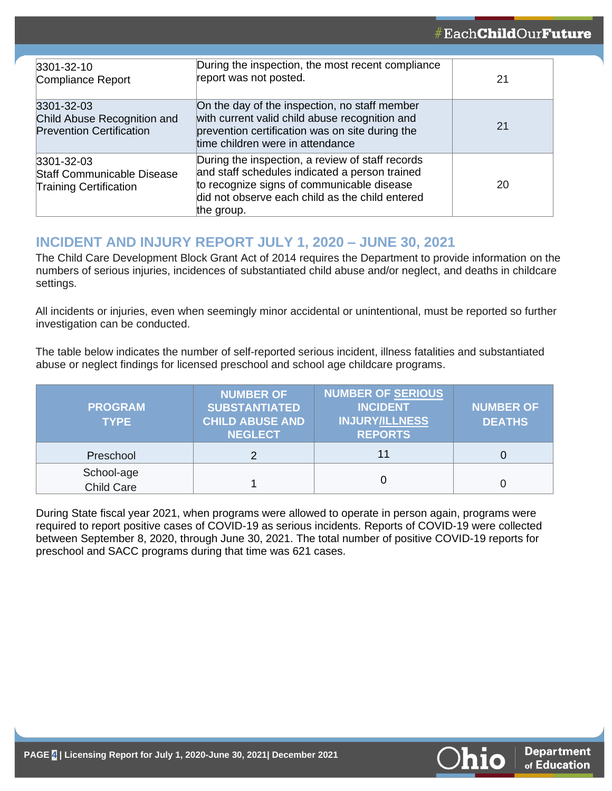| 3301-32-10<br>Compliance Report                                                        | During the inspection, the most recent compliance<br>report was not posted.                                                                                                                                       | 21 |
|----------------------------------------------------------------------------------------|-------------------------------------------------------------------------------------------------------------------------------------------------------------------------------------------------------------------|----|
| 3301-32-03<br>Child Abuse Recognition and<br><b>Prevention Certification</b>           | On the day of the inspection, no staff member<br>with current valid child abuse recognition and<br>prevention certification was on site during the<br>time children were in attendance                            | 21 |
| $3301 - 32 - 03$<br><b>Staff Communicable Disease</b><br><b>Training Certification</b> | During the inspection, a review of staff records<br>and staff schedules indicated a person trained<br>to recognize signs of communicable disease<br>did not observe each child as the child entered<br>the group. | 20 |

#### **INCIDENT AND INJURY REPORT JULY 1, 2020 – JUNE 30, 2021**

The Child Care Development Block Grant Act of 2014 requires the Department to provide information on the numbers of serious injuries, incidences of substantiated child abuse and/or neglect, and deaths in childcare settings.

All incidents or injuries, even when seemingly minor accidental or unintentional, must be reported so further investigation can be conducted.

The table below indicates the number of self-reported serious incident, illness fatalities and substantiated abuse or neglect findings for licensed preschool and school age childcare programs.

| <b>PROGRAM</b><br><b>TYPE</b>   | <b>NUMBER OF</b><br><b>SUBSTANTIATED</b><br><b>CHILD ABUSE AND</b><br><b>NEGLECT</b> | <b>NUMBER OF SERIOUS</b><br><b>INCIDENT</b><br><b>INJURY/ILLNESS</b><br><b>REPORTS</b> | <b>NUMBER OF</b><br><b>DEATHS</b> |
|---------------------------------|--------------------------------------------------------------------------------------|----------------------------------------------------------------------------------------|-----------------------------------|
| Preschool                       |                                                                                      | 11                                                                                     |                                   |
| School-age<br><b>Child Care</b> |                                                                                      | 0                                                                                      |                                   |

During State fiscal year 2021, when programs were allowed to operate in person again, programs were required to report positive cases of COVID-19 as serious incidents. Reports of COVID-19 were collected between September 8, 2020, through June 30, 2021. The total number of positive COVID-19 reports for preschool and SACC programs during that time was 621 cases.

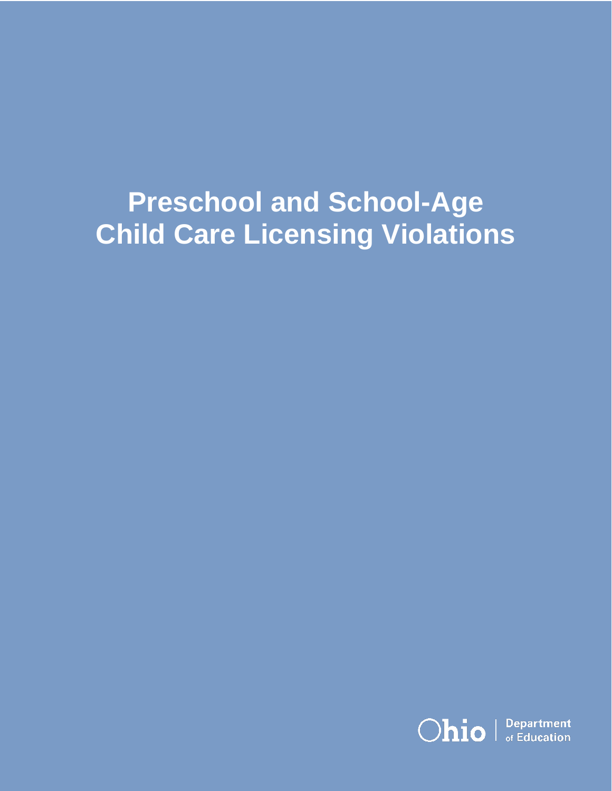# **Preschool and School-Age Child Care Licensing Violations**

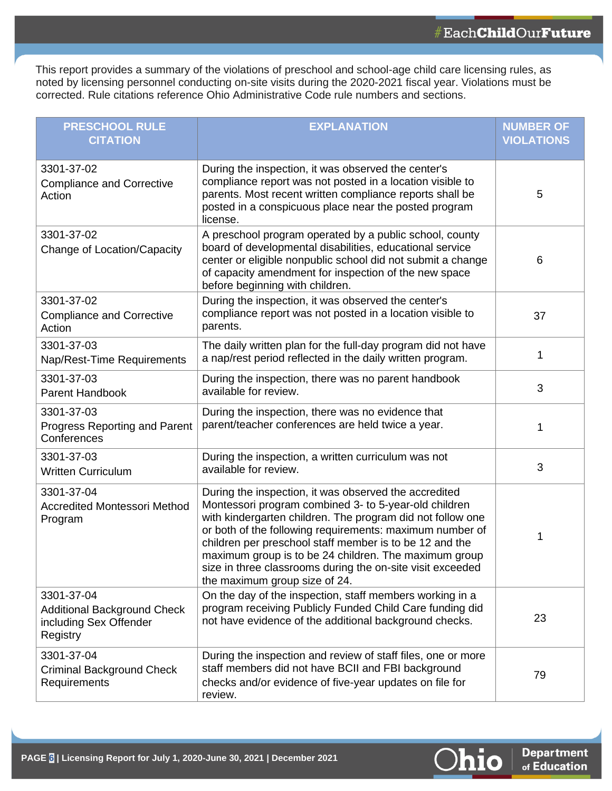This report provides a summary of the violations of preschool and school-age child care licensing rules, as noted by licensing personnel conducting on-site visits during the 2020-2021 fiscal year. Violations must be corrected. Rule citations reference Ohio Administrative Code rule numbers and sections.

| <b>PRESCHOOL RULE</b><br><b>CITATION</b>                                               | <b>EXPLANATION</b>                                                                                                                                                                                                                                                                                                                                                                                                                                          | <b>NUMBER OF</b><br><b>VIOLATIONS</b> |
|----------------------------------------------------------------------------------------|-------------------------------------------------------------------------------------------------------------------------------------------------------------------------------------------------------------------------------------------------------------------------------------------------------------------------------------------------------------------------------------------------------------------------------------------------------------|---------------------------------------|
| 3301-37-02<br><b>Compliance and Corrective</b><br>Action                               | During the inspection, it was observed the center's<br>compliance report was not posted in a location visible to<br>parents. Most recent written compliance reports shall be<br>posted in a conspicuous place near the posted program<br>license.                                                                                                                                                                                                           | 5                                     |
| 3301-37-02<br>Change of Location/Capacity                                              | A preschool program operated by a public school, county<br>board of developmental disabilities, educational service<br>center or eligible nonpublic school did not submit a change<br>of capacity amendment for inspection of the new space<br>before beginning with children.                                                                                                                                                                              | 6                                     |
| 3301-37-02<br><b>Compliance and Corrective</b><br>Action                               | During the inspection, it was observed the center's<br>compliance report was not posted in a location visible to<br>parents.                                                                                                                                                                                                                                                                                                                                | 37                                    |
| 3301-37-03<br>Nap/Rest-Time Requirements                                               | The daily written plan for the full-day program did not have<br>a nap/rest period reflected in the daily written program.                                                                                                                                                                                                                                                                                                                                   | 1                                     |
| 3301-37-03<br>Parent Handbook                                                          | During the inspection, there was no parent handbook<br>available for review.                                                                                                                                                                                                                                                                                                                                                                                | 3                                     |
| 3301-37-03<br>Progress Reporting and Parent<br>Conferences                             | During the inspection, there was no evidence that<br>parent/teacher conferences are held twice a year.                                                                                                                                                                                                                                                                                                                                                      | 1                                     |
| 3301-37-03<br><b>Written Curriculum</b>                                                | During the inspection, a written curriculum was not<br>available for review.                                                                                                                                                                                                                                                                                                                                                                                | 3                                     |
| 3301-37-04<br><b>Accredited Montessori Method</b><br>Program                           | During the inspection, it was observed the accredited<br>Montessori program combined 3- to 5-year-old children<br>with kindergarten children. The program did not follow one<br>or both of the following requirements: maximum number of<br>children per preschool staff member is to be 12 and the<br>maximum group is to be 24 children. The maximum group<br>size in three classrooms during the on-site visit exceeded<br>the maximum group size of 24. | 1                                     |
| 3301-37-04<br><b>Additional Background Check</b><br>including Sex Offender<br>Registry | On the day of the inspection, staff members working in a<br>program receiving Publicly Funded Child Care funding did<br>not have evidence of the additional background checks.                                                                                                                                                                                                                                                                              | 23                                    |
| 3301-37-04<br><b>Criminal Background Check</b><br>Requirements                         | During the inspection and review of staff files, one or more<br>staff members did not have BCII and FBI background<br>checks and/or evidence of five-year updates on file for<br>review.                                                                                                                                                                                                                                                                    | 79                                    |

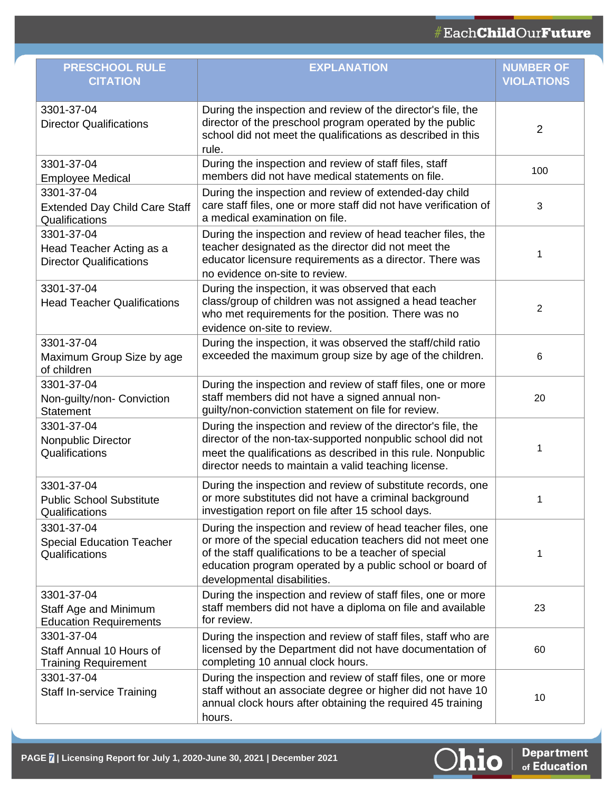| <b>PRESCHOOL RULE</b><br><b>CITATION</b>                                 | <b>EXPLANATION</b>                                                                                                                                                                                                                                                              | <b>NUMBER OF</b><br><b>VIOLATIONS</b> |
|--------------------------------------------------------------------------|---------------------------------------------------------------------------------------------------------------------------------------------------------------------------------------------------------------------------------------------------------------------------------|---------------------------------------|
| 3301-37-04<br><b>Director Qualifications</b>                             | During the inspection and review of the director's file, the<br>director of the preschool program operated by the public<br>school did not meet the qualifications as described in this<br>rule.                                                                                | 2                                     |
| 3301-37-04<br><b>Employee Medical</b>                                    | During the inspection and review of staff files, staff<br>members did not have medical statements on file.                                                                                                                                                                      | 100                                   |
| 3301-37-04<br><b>Extended Day Child Care Staff</b><br>Qualifications     | During the inspection and review of extended-day child<br>care staff files, one or more staff did not have verification of<br>a medical examination on file.                                                                                                                    | 3                                     |
| 3301-37-04<br>Head Teacher Acting as a<br><b>Director Qualifications</b> | During the inspection and review of head teacher files, the<br>teacher designated as the director did not meet the<br>educator licensure requirements as a director. There was<br>no evidence on-site to review.                                                                | 1                                     |
| 3301-37-04<br><b>Head Teacher Qualifications</b>                         | During the inspection, it was observed that each<br>class/group of children was not assigned a head teacher<br>who met requirements for the position. There was no<br>evidence on-site to review.                                                                               | 2                                     |
| 3301-37-04<br>Maximum Group Size by age<br>of children                   | During the inspection, it was observed the staff/child ratio<br>exceeded the maximum group size by age of the children.                                                                                                                                                         | 6                                     |
| 3301-37-04<br>Non-guilty/non- Conviction<br><b>Statement</b>             | During the inspection and review of staff files, one or more<br>staff members did not have a signed annual non-<br>guilty/non-conviction statement on file for review.                                                                                                          | 20                                    |
| 3301-37-04<br>Nonpublic Director<br>Qualifications                       | During the inspection and review of the director's file, the<br>director of the non-tax-supported nonpublic school did not<br>meet the qualifications as described in this rule. Nonpublic<br>director needs to maintain a valid teaching license.                              | 1                                     |
| 3301-37-04<br><b>Public School Substitute</b><br>Qualifications          | During the inspection and review of substitute records, one<br>or more substitutes did not have a criminal background<br>investigation report on file after 15 school days.                                                                                                     | 1                                     |
| 3301-37-04<br><b>Special Education Teacher</b><br>Qualifications         | During the inspection and review of head teacher files, one<br>or more of the special education teachers did not meet one<br>of the staff qualifications to be a teacher of special<br>education program operated by a public school or board of<br>developmental disabilities. | 1                                     |
| 3301-37-04<br>Staff Age and Minimum<br><b>Education Requirements</b>     | During the inspection and review of staff files, one or more<br>staff members did not have a diploma on file and available<br>for review.                                                                                                                                       | 23                                    |
| 3301-37-04<br>Staff Annual 10 Hours of<br><b>Training Requirement</b>    | During the inspection and review of staff files, staff who are<br>licensed by the Department did not have documentation of<br>completing 10 annual clock hours.                                                                                                                 | 60                                    |
| 3301-37-04<br><b>Staff In-service Training</b>                           | During the inspection and review of staff files, one or more<br>staff without an associate degree or higher did not have 10<br>annual clock hours after obtaining the required 45 training<br>hours.                                                                            | 10                                    |



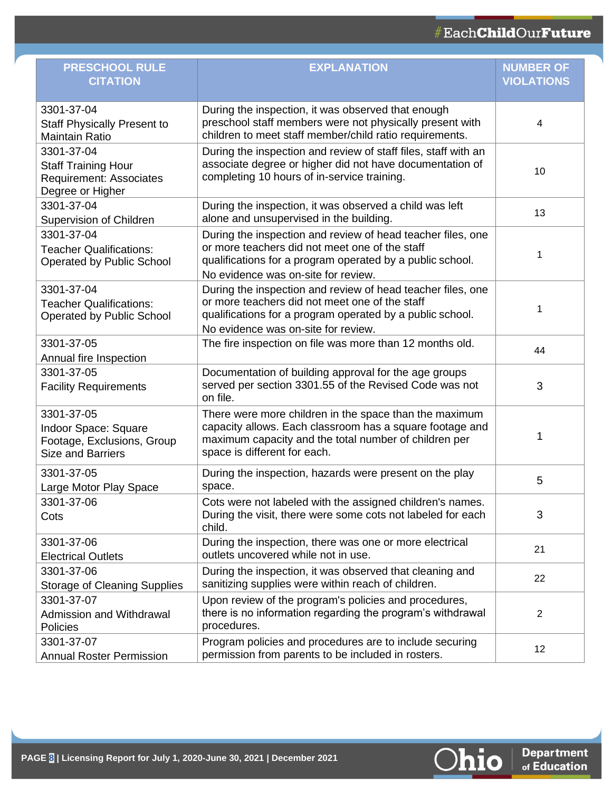| <b>PRESCHOOL RULE</b><br><b>CITATION</b>                                                       | <b>EXPLANATION</b>                                                                                                                                                                                                | <b>NUMBER OF</b><br><b>VIOLATIONS</b> |
|------------------------------------------------------------------------------------------------|-------------------------------------------------------------------------------------------------------------------------------------------------------------------------------------------------------------------|---------------------------------------|
| 3301-37-04<br><b>Staff Physically Present to</b><br><b>Maintain Ratio</b>                      | During the inspection, it was observed that enough<br>preschool staff members were not physically present with<br>children to meet staff member/child ratio requirements.                                         | 4                                     |
| 3301-37-04<br><b>Staff Training Hour</b><br><b>Requirement: Associates</b><br>Degree or Higher | During the inspection and review of staff files, staff with an<br>associate degree or higher did not have documentation of<br>completing 10 hours of in-service training.                                         | 10                                    |
| 3301-37-04<br>Supervision of Children                                                          | During the inspection, it was observed a child was left<br>alone and unsupervised in the building.                                                                                                                | 13                                    |
| 3301-37-04<br><b>Teacher Qualifications:</b><br><b>Operated by Public School</b>               | During the inspection and review of head teacher files, one<br>or more teachers did not meet one of the staff<br>qualifications for a program operated by a public school.<br>No evidence was on-site for review. | 1                                     |
| 3301-37-04<br><b>Teacher Qualifications:</b><br><b>Operated by Public School</b>               | During the inspection and review of head teacher files, one<br>or more teachers did not meet one of the staff<br>qualifications for a program operated by a public school.<br>No evidence was on-site for review. | 1                                     |
| 3301-37-05<br>Annual fire Inspection                                                           | The fire inspection on file was more than 12 months old.                                                                                                                                                          | 44                                    |
| 3301-37-05<br><b>Facility Requirements</b>                                                     | Documentation of building approval for the age groups<br>served per section 3301.55 of the Revised Code was not<br>on file.                                                                                       | 3                                     |
| 3301-37-05<br>Indoor Space: Square<br>Footage, Exclusions, Group<br><b>Size and Barriers</b>   | There were more children in the space than the maximum<br>capacity allows. Each classroom has a square footage and<br>maximum capacity and the total number of children per<br>space is different for each.       | 1                                     |
| 3301-37-05<br>Large Motor Play Space                                                           | During the inspection, hazards were present on the play<br>space.                                                                                                                                                 | 5                                     |
| 3301-37-06<br>Cots                                                                             | Cots were not labeled with the assigned children's names.<br>During the visit, there were some cots not labeled for each<br>child.                                                                                | 3                                     |
| 3301-37-06<br><b>Electrical Outlets</b>                                                        | During the inspection, there was one or more electrical<br>outlets uncovered while not in use.                                                                                                                    | 21                                    |
| 3301-37-06<br><b>Storage of Cleaning Supplies</b>                                              | During the inspection, it was observed that cleaning and<br>sanitizing supplies were within reach of children.                                                                                                    | 22                                    |
| 3301-37-07<br><b>Admission and Withdrawal</b><br><b>Policies</b>                               | Upon review of the program's policies and procedures,<br>there is no information regarding the program's withdrawal<br>procedures.                                                                                | $\overline{2}$                        |
| 3301-37-07<br><b>Annual Roster Permission</b>                                                  | Program policies and procedures are to include securing<br>permission from parents to be included in rosters.                                                                                                     | 12                                    |

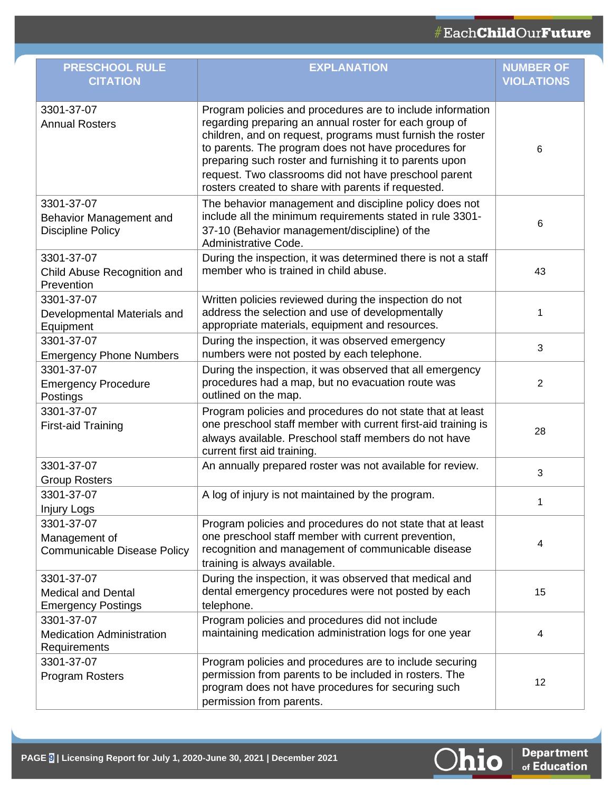| <b>PRESCHOOL RULE</b><br><b>CITATION</b>                             | <b>EXPLANATION</b>                                                                                                                                                                                                                                                                                                                                                                                                    | <b>NUMBER OF</b><br><b>VIOLATIONS</b> |
|----------------------------------------------------------------------|-----------------------------------------------------------------------------------------------------------------------------------------------------------------------------------------------------------------------------------------------------------------------------------------------------------------------------------------------------------------------------------------------------------------------|---------------------------------------|
| 3301-37-07<br><b>Annual Rosters</b>                                  | Program policies and procedures are to include information<br>regarding preparing an annual roster for each group of<br>children, and on request, programs must furnish the roster<br>to parents. The program does not have procedures for<br>preparing such roster and furnishing it to parents upon<br>request. Two classrooms did not have preschool parent<br>rosters created to share with parents if requested. | 6                                     |
| 3301-37-07<br>Behavior Management and<br><b>Discipline Policy</b>    | The behavior management and discipline policy does not<br>include all the minimum requirements stated in rule 3301-<br>37-10 (Behavior management/discipline) of the<br>Administrative Code.                                                                                                                                                                                                                          | 6                                     |
| 3301-37-07<br>Child Abuse Recognition and<br>Prevention              | During the inspection, it was determined there is not a staff<br>member who is trained in child abuse.                                                                                                                                                                                                                                                                                                                | 43                                    |
| 3301-37-07<br>Developmental Materials and<br>Equipment               | Written policies reviewed during the inspection do not<br>address the selection and use of developmentally<br>appropriate materials, equipment and resources.                                                                                                                                                                                                                                                         | 1                                     |
| 3301-37-07<br><b>Emergency Phone Numbers</b>                         | During the inspection, it was observed emergency<br>numbers were not posted by each telephone.                                                                                                                                                                                                                                                                                                                        | 3                                     |
| 3301-37-07<br><b>Emergency Procedure</b><br>Postings                 | During the inspection, it was observed that all emergency<br>procedures had a map, but no evacuation route was<br>outlined on the map.                                                                                                                                                                                                                                                                                | 2                                     |
| 3301-37-07<br><b>First-aid Training</b>                              | Program policies and procedures do not state that at least<br>one preschool staff member with current first-aid training is<br>always available. Preschool staff members do not have<br>current first aid training.                                                                                                                                                                                                   | 28                                    |
| 3301-37-07<br><b>Group Rosters</b>                                   | An annually prepared roster was not available for review.                                                                                                                                                                                                                                                                                                                                                             | 3                                     |
| 3301-37-07<br>Injury Logs                                            | A log of injury is not maintained by the program.                                                                                                                                                                                                                                                                                                                                                                     |                                       |
| 3301-37-07<br>Management of<br><b>Communicable Disease Policy</b>    | Program policies and procedures do not state that at least<br>one preschool staff member with current prevention,<br>recognition and management of communicable disease<br>training is always available.                                                                                                                                                                                                              | 4                                     |
| 3301-37-07<br><b>Medical and Dental</b><br><b>Emergency Postings</b> | During the inspection, it was observed that medical and<br>dental emergency procedures were not posted by each<br>telephone.                                                                                                                                                                                                                                                                                          | 15                                    |
| 3301-37-07<br><b>Medication Administration</b><br>Requirements       | Program policies and procedures did not include<br>maintaining medication administration logs for one year                                                                                                                                                                                                                                                                                                            | 4                                     |
| 3301-37-07<br>Program Rosters                                        | Program policies and procedures are to include securing<br>permission from parents to be included in rosters. The<br>program does not have procedures for securing such<br>permission from parents.                                                                                                                                                                                                                   | 12                                    |

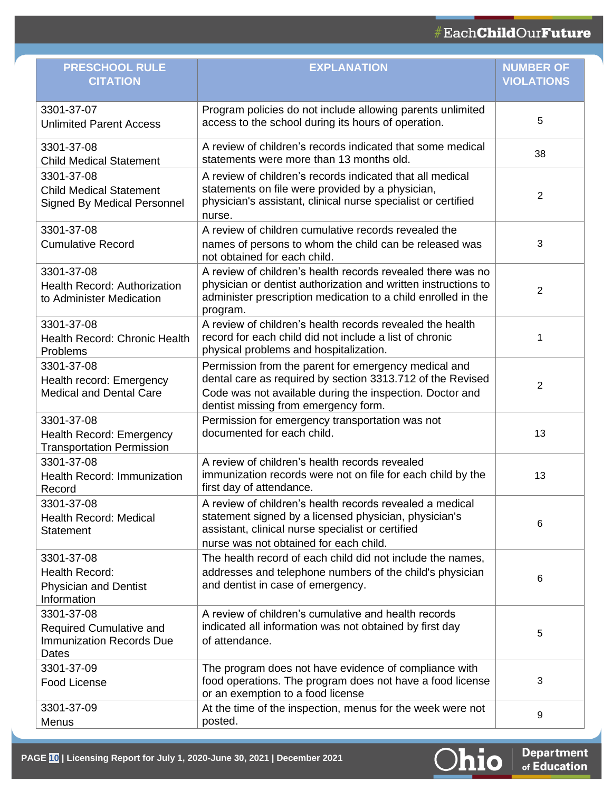### #EachChildOurFuture

| <b>PRESCHOOL RULE</b><br><b>CITATION</b>                                           | <b>EXPLANATION</b>                                                                                                                                                                                                     | <b>NUMBER OF</b><br><b>VIOLATIONS</b> |
|------------------------------------------------------------------------------------|------------------------------------------------------------------------------------------------------------------------------------------------------------------------------------------------------------------------|---------------------------------------|
| 3301-37-07<br><b>Unlimited Parent Access</b>                                       | Program policies do not include allowing parents unlimited<br>access to the school during its hours of operation.                                                                                                      | 5                                     |
| 3301-37-08<br><b>Child Medical Statement</b>                                       | A review of children's records indicated that some medical<br>statements were more than 13 months old.                                                                                                                 | 38                                    |
| 3301-37-08<br><b>Child Medical Statement</b><br><b>Signed By Medical Personnel</b> | A review of children's records indicated that all medical<br>statements on file were provided by a physician,<br>physician's assistant, clinical nurse specialist or certified<br>nurse.                               | 2                                     |
| 3301-37-08<br><b>Cumulative Record</b>                                             | A review of children cumulative records revealed the<br>names of persons to whom the child can be released was<br>not obtained for each child.                                                                         | 3                                     |
| 3301-37-08<br><b>Health Record: Authorization</b><br>to Administer Medication      | A review of children's health records revealed there was no<br>physician or dentist authorization and written instructions to<br>administer prescription medication to a child enrolled in the<br>program.             | $\overline{2}$                        |
| 3301-37-08<br>Health Record: Chronic Health<br>Problems                            | A review of children's health records revealed the health<br>record for each child did not include a list of chronic<br>physical problems and hospitalization.                                                         | 1                                     |
| 3301-37-08<br>Health record: Emergency<br><b>Medical and Dental Care</b>           | Permission from the parent for emergency medical and<br>dental care as required by section 3313.712 of the Revised<br>Code was not available during the inspection. Doctor and<br>dentist missing from emergency form. | $\overline{2}$                        |
| 3301-37-08<br>Health Record: Emergency<br><b>Transportation Permission</b>         | Permission for emergency transportation was not<br>documented for each child.                                                                                                                                          | 13                                    |
| 3301-37-08<br>Health Record: Immunization<br>Record                                | A review of children's health records revealed<br>immunization records were not on file for each child by the<br>first day of attendance.                                                                              | 13                                    |
| 3301-37-08<br><b>Health Record: Medical</b><br><b>Statement</b>                    | A review of children's health records revealed a medical<br>statement signed by a licensed physician, physician's<br>assistant, clinical nurse specialist or certified<br>nurse was not obtained for each child.       | 6                                     |
| 3301-37-08<br>Health Record:<br><b>Physician and Dentist</b><br>Information        | The health record of each child did not include the names,<br>addresses and telephone numbers of the child's physician<br>and dentist in case of emergency.                                                            | 6                                     |
| 3301-37-08<br>Required Cumulative and<br><b>Immunization Records Due</b><br>Dates  | A review of children's cumulative and health records<br>indicated all information was not obtained by first day<br>of attendance.                                                                                      | 5                                     |
| 3301-37-09<br><b>Food License</b>                                                  | The program does not have evidence of compliance with<br>food operations. The program does not have a food license<br>or an exemption to a food license                                                                | 3                                     |
| 3301-37-09<br>Menus                                                                | At the time of the inspection, menus for the week were not<br>posted.                                                                                                                                                  | 9                                     |

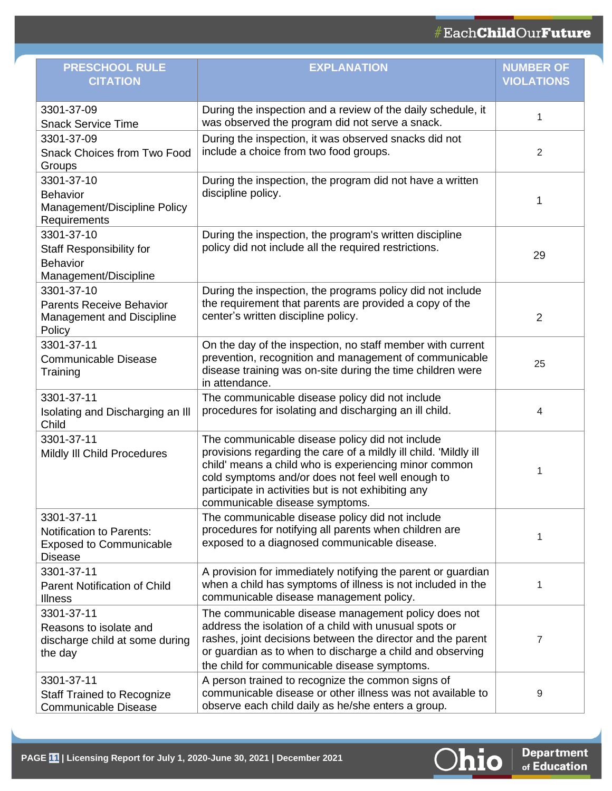| <b>PRESCHOOL RULE</b><br><b>CITATION</b>                                                          | <b>EXPLANATION</b>                                                                                                                                                                                                                                                                                                         | <b>NUMBER OF</b><br><b>VIOLATIONS</b> |
|---------------------------------------------------------------------------------------------------|----------------------------------------------------------------------------------------------------------------------------------------------------------------------------------------------------------------------------------------------------------------------------------------------------------------------------|---------------------------------------|
| 3301-37-09<br><b>Snack Service Time</b>                                                           | During the inspection and a review of the daily schedule, it<br>was observed the program did not serve a snack.                                                                                                                                                                                                            | 1                                     |
| 3301-37-09<br><b>Snack Choices from Two Food</b><br>Groups                                        | During the inspection, it was observed snacks did not<br>include a choice from two food groups.                                                                                                                                                                                                                            | $\overline{2}$                        |
| 3301-37-10<br><b>Behavior</b><br>Management/Discipline Policy<br>Requirements                     | During the inspection, the program did not have a written<br>discipline policy.                                                                                                                                                                                                                                            | 1                                     |
| 3301-37-10<br><b>Staff Responsibility for</b><br><b>Behavior</b><br>Management/Discipline         | During the inspection, the program's written discipline<br>policy did not include all the required restrictions.                                                                                                                                                                                                           | 29                                    |
| 3301-37-10<br><b>Parents Receive Behavior</b><br>Management and Discipline<br>Policy              | During the inspection, the programs policy did not include<br>the requirement that parents are provided a copy of the<br>center's written discipline policy.                                                                                                                                                               | $\overline{2}$                        |
| 3301-37-11<br><b>Communicable Disease</b><br>Training                                             | On the day of the inspection, no staff member with current<br>prevention, recognition and management of communicable<br>disease training was on-site during the time children were<br>in attendance.                                                                                                                       | 25                                    |
| 3301-37-11<br>Isolating and Discharging an III<br>Child                                           | The communicable disease policy did not include<br>procedures for isolating and discharging an ill child.                                                                                                                                                                                                                  | 4                                     |
| 3301-37-11<br>Mildly III Child Procedures                                                         | The communicable disease policy did not include<br>provisions regarding the care of a mildly ill child. 'Mildly ill<br>child' means a child who is experiencing minor common<br>cold symptoms and/or does not feel well enough to<br>participate in activities but is not exhibiting any<br>communicable disease symptoms. | 1                                     |
| 3301-37-11<br><b>Notification to Parents:</b><br><b>Exposed to Communicable</b><br><b>Disease</b> | The communicable disease policy did not include<br>procedures for notifying all parents when children are<br>exposed to a diagnosed communicable disease.                                                                                                                                                                  | 1                                     |
| 3301-37-11<br><b>Parent Notification of Child</b><br><b>Illness</b>                               | A provision for immediately notifying the parent or guardian<br>when a child has symptoms of illness is not included in the<br>communicable disease management policy.                                                                                                                                                     | 1                                     |
| 3301-37-11<br>Reasons to isolate and<br>discharge child at some during<br>the day                 | The communicable disease management policy does not<br>address the isolation of a child with unusual spots or<br>rashes, joint decisions between the director and the parent<br>or guardian as to when to discharge a child and observing<br>the child for communicable disease symptoms.                                  | 7                                     |
| 3301-37-11<br><b>Staff Trained to Recognize</b><br><b>Communicable Disease</b>                    | A person trained to recognize the common signs of<br>communicable disease or other illness was not available to<br>observe each child daily as he/she enters a group.                                                                                                                                                      | 9                                     |

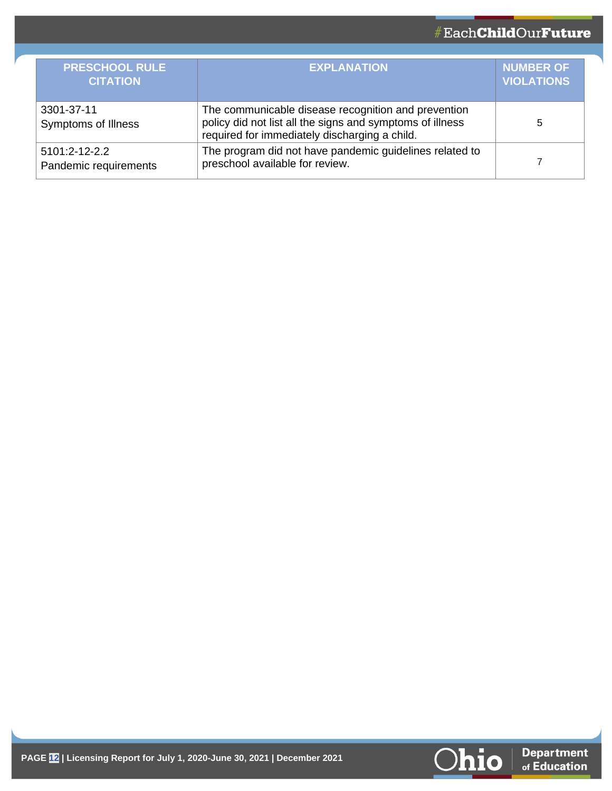| <b>PRESCHOOL RULE</b><br><b>CITATION</b> | <b>EXPLANATION</b>                                                                                                                                                | <b>NUMBER OF</b><br><b>VIOLATIONS</b> |
|------------------------------------------|-------------------------------------------------------------------------------------------------------------------------------------------------------------------|---------------------------------------|
| 3301-37-11<br>Symptoms of Illness        | The communicable disease recognition and prevention<br>policy did not list all the signs and symptoms of illness<br>required for immediately discharging a child. | 5                                     |
| 5101:2-12-2.2<br>Pandemic requirements   | The program did not have pandemic guidelines related to<br>preschool available for review.                                                                        |                                       |

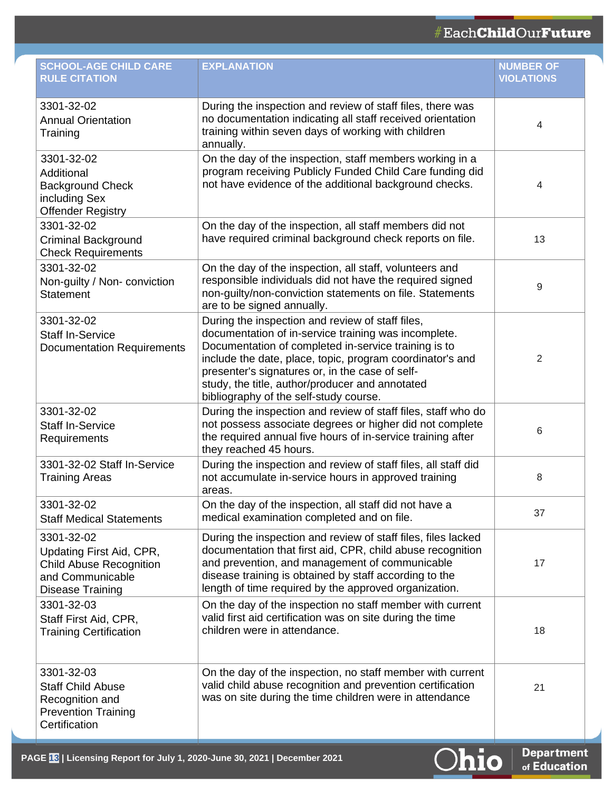| <b>SCHOOL-AGE CHILD CARE</b><br><b>RULE CITATION</b>                                                             | <b>EXPLANATION</b>                                                                                                                                                                                                                                                                                                                                                            | <b>NUMBER OF</b><br><b>VIOLATIONS</b> |
|------------------------------------------------------------------------------------------------------------------|-------------------------------------------------------------------------------------------------------------------------------------------------------------------------------------------------------------------------------------------------------------------------------------------------------------------------------------------------------------------------------|---------------------------------------|
| 3301-32-02<br><b>Annual Orientation</b><br>Training                                                              | During the inspection and review of staff files, there was<br>no documentation indicating all staff received orientation<br>training within seven days of working with children<br>annually.                                                                                                                                                                                  | 4                                     |
| 3301-32-02<br>Additional<br><b>Background Check</b><br>including Sex<br><b>Offender Registry</b>                 | On the day of the inspection, staff members working in a<br>program receiving Publicly Funded Child Care funding did<br>not have evidence of the additional background checks.                                                                                                                                                                                                | 4                                     |
| 3301-32-02<br>Criminal Background<br><b>Check Requirements</b>                                                   | On the day of the inspection, all staff members did not<br>have required criminal background check reports on file.                                                                                                                                                                                                                                                           | 13                                    |
| 3301-32-02<br>Non-guilty / Non- conviction<br><b>Statement</b>                                                   | On the day of the inspection, all staff, volunteers and<br>responsible individuals did not have the required signed<br>non-guilty/non-conviction statements on file. Statements<br>are to be signed annually.                                                                                                                                                                 | 9                                     |
| 3301-32-02<br><b>Staff In-Service</b><br><b>Documentation Requirements</b>                                       | During the inspection and review of staff files,<br>documentation of in-service training was incomplete.<br>Documentation of completed in-service training is to<br>include the date, place, topic, program coordinator's and<br>presenter's signatures or, in the case of self-<br>study, the title, author/producer and annotated<br>bibliography of the self-study course. | 2                                     |
| 3301-32-02<br><b>Staff In-Service</b><br>Requirements                                                            | During the inspection and review of staff files, staff who do<br>not possess associate degrees or higher did not complete<br>the required annual five hours of in-service training after<br>they reached 45 hours.                                                                                                                                                            | 6                                     |
| 3301-32-02 Staff In-Service<br><b>Training Areas</b>                                                             | During the inspection and review of staff files, all staff did<br>not accumulate in-service hours in approved training<br>areas.                                                                                                                                                                                                                                              | 8                                     |
| 3301-32-02<br><b>Staff Medical Statements</b>                                                                    | On the day of the inspection, all staff did not have a<br>medical examination completed and on file.                                                                                                                                                                                                                                                                          | 37                                    |
| 3301-32-02<br>Updating First Aid, CPR,<br><b>Child Abuse Recognition</b><br>and Communicable<br>Disease Training | During the inspection and review of staff files, files lacked<br>documentation that first aid, CPR, child abuse recognition<br>and prevention, and management of communicable<br>disease training is obtained by staff according to the<br>length of time required by the approved organization.                                                                              | 17                                    |
| 3301-32-03<br>Staff First Aid, CPR,<br><b>Training Certification</b>                                             | On the day of the inspection no staff member with current<br>valid first aid certification was on site during the time<br>children were in attendance.                                                                                                                                                                                                                        | 18                                    |
| 3301-32-03<br><b>Staff Child Abuse</b><br>Recognition and<br><b>Prevention Training</b><br>Certification         | On the day of the inspection, no staff member with current<br>valid child abuse recognition and prevention certification<br>was on site during the time children were in attendance                                                                                                                                                                                           | 21                                    |

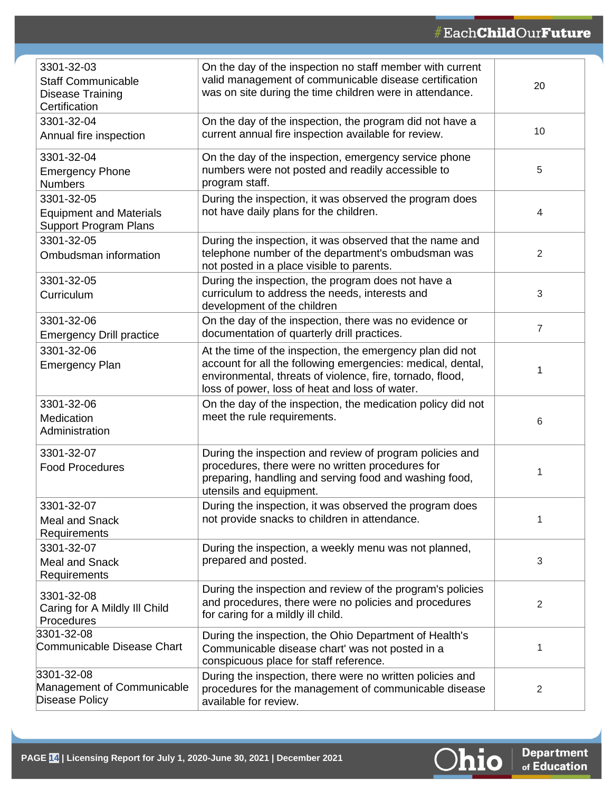| 3301-32-03                                                     | On the day of the inspection no staff member with current                                                                                                                  |                |
|----------------------------------------------------------------|----------------------------------------------------------------------------------------------------------------------------------------------------------------------------|----------------|
| <b>Staff Communicable</b><br>Disease Training<br>Certification | valid management of communicable disease certification<br>was on site during the time children were in attendance.                                                         | 20             |
| 3301-32-04                                                     | On the day of the inspection, the program did not have a                                                                                                                   |                |
| Annual fire inspection                                         | current annual fire inspection available for review.                                                                                                                       | 10             |
| 3301-32-04                                                     | On the day of the inspection, emergency service phone                                                                                                                      |                |
| <b>Emergency Phone</b><br><b>Numbers</b>                       | numbers were not posted and readily accessible to<br>program staff.                                                                                                        | 5              |
| 3301-32-05                                                     | During the inspection, it was observed the program does                                                                                                                    |                |
| <b>Equipment and Materials</b><br><b>Support Program Plans</b> | not have daily plans for the children.                                                                                                                                     | 4              |
| 3301-32-05                                                     | During the inspection, it was observed that the name and                                                                                                                   |                |
| Ombudsman information                                          | telephone number of the department's ombudsman was<br>not posted in a place visible to parents.                                                                            | $\overline{2}$ |
| 3301-32-05                                                     | During the inspection, the program does not have a                                                                                                                         |                |
| Curriculum                                                     | curriculum to address the needs, interests and<br>development of the children                                                                                              | 3              |
| 3301-32-06                                                     | On the day of the inspection, there was no evidence or                                                                                                                     | 7              |
| <b>Emergency Drill practice</b>                                | documentation of quarterly drill practices.                                                                                                                                |                |
| 3301-32-06                                                     | At the time of the inspection, the emergency plan did not                                                                                                                  |                |
| <b>Emergency Plan</b>                                          | account for all the following emergencies: medical, dental,<br>environmental, threats of violence, fire, tornado, flood,<br>loss of power, loss of heat and loss of water. | 1              |
| 3301-32-06                                                     | On the day of the inspection, the medication policy did not                                                                                                                |                |
| Medication<br>Administration                                   | meet the rule requirements.                                                                                                                                                | 6              |
| 3301-32-07                                                     | During the inspection and review of program policies and                                                                                                                   |                |
| <b>Food Procedures</b>                                         | procedures, there were no written procedures for<br>preparing, handling and serving food and washing food,<br>utensils and equipment.                                      | 1              |
| 3301-32-07                                                     | During the inspection, it was observed the program does                                                                                                                    |                |
| <b>Meal and Snack</b><br>Requirements                          | not provide snacks to children in attendance.                                                                                                                              | 1              |
| 3301-32-07                                                     | During the inspection, a weekly menu was not planned,                                                                                                                      |                |
| <b>Meal and Snack</b>                                          | prepared and posted.                                                                                                                                                       | 3              |
| Requirements                                                   |                                                                                                                                                                            |                |
| 3301-32-08                                                     | During the inspection and review of the program's policies                                                                                                                 |                |
| Caring for A Mildly III Child                                  | and procedures, there were no policies and procedures<br>for caring for a mildly ill child.                                                                                | 2              |
| Procedures                                                     |                                                                                                                                                                            |                |
| 3301-32-08<br>Communicable Disease Chart                       | During the inspection, the Ohio Department of Health's                                                                                                                     |                |
|                                                                | Communicable disease chart' was not posted in a<br>conspicuous place for staff reference.                                                                                  | 1              |
| 3301-32-08                                                     | During the inspection, there were no written policies and                                                                                                                  |                |
| Management of Communicable<br><b>Disease Policy</b>            | procedures for the management of communicable disease<br>available for review.                                                                                             | 2              |

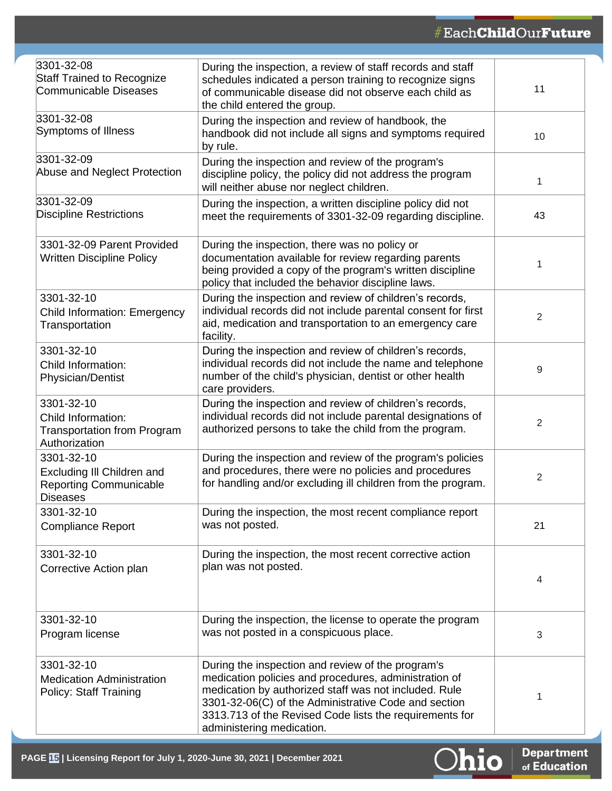| 3301-32-08<br><b>Staff Trained to Recognize</b><br>Communicable Diseases                     | During the inspection, a review of staff records and staff<br>schedules indicated a person training to recognize signs<br>of communicable disease did not observe each child as<br>the child entered the group.                                                                                                     | 11             |
|----------------------------------------------------------------------------------------------|---------------------------------------------------------------------------------------------------------------------------------------------------------------------------------------------------------------------------------------------------------------------------------------------------------------------|----------------|
| 3301-32-08<br>Symptoms of Illness                                                            | During the inspection and review of handbook, the<br>handbook did not include all signs and symptoms required<br>by rule.                                                                                                                                                                                           | 10             |
| 3301-32-09<br>Abuse and Neglect Protection                                                   | During the inspection and review of the program's<br>discipline policy, the policy did not address the program<br>will neither abuse nor neglect children.                                                                                                                                                          | 1              |
| 3301-32-09<br><b>Discipline Restrictions</b>                                                 | During the inspection, a written discipline policy did not<br>meet the requirements of 3301-32-09 regarding discipline.                                                                                                                                                                                             | 43             |
| 3301-32-09 Parent Provided<br><b>Written Discipline Policy</b>                               | During the inspection, there was no policy or<br>documentation available for review regarding parents<br>being provided a copy of the program's written discipline<br>policy that included the behavior discipline laws.                                                                                            | 1              |
| 3301-32-10<br><b>Child Information: Emergency</b><br>Transportation                          | During the inspection and review of children's records,<br>individual records did not include parental consent for first<br>aid, medication and transportation to an emergency care<br>facility.                                                                                                                    | $\overline{2}$ |
| 3301-32-10<br>Child Information:<br>Physician/Dentist                                        | During the inspection and review of children's records,<br>individual records did not include the name and telephone<br>number of the child's physician, dentist or other health<br>care providers.                                                                                                                 | 9              |
| 3301-32-10<br>Child Information:<br><b>Transportation from Program</b><br>Authorization      | During the inspection and review of children's records,<br>individual records did not include parental designations of<br>authorized persons to take the child from the program.                                                                                                                                    | $\overline{2}$ |
| 3301-32-10<br>Excluding III Children and<br><b>Reporting Communicable</b><br><b>Diseases</b> | During the inspection and review of the program's policies<br>and procedures, there were no policies and procedures<br>for handling and/or excluding ill children from the program.                                                                                                                                 | $\overline{2}$ |
| 3301-32-10<br><b>Compliance Report</b>                                                       | During the inspection, the most recent compliance report<br>was not posted.                                                                                                                                                                                                                                         | 21             |
| 3301-32-10<br>Corrective Action plan                                                         | During the inspection, the most recent corrective action<br>plan was not posted.                                                                                                                                                                                                                                    | 4              |
| 3301-32-10<br>Program license                                                                | During the inspection, the license to operate the program<br>was not posted in a conspicuous place.                                                                                                                                                                                                                 | $\sqrt{3}$     |
| 3301-32-10<br><b>Medication Administration</b><br><b>Policy: Staff Training</b>              | During the inspection and review of the program's<br>medication policies and procedures, administration of<br>medication by authorized staff was not included. Rule<br>3301-32-06(C) of the Administrative Code and section<br>3313.713 of the Revised Code lists the requirements for<br>administering medication. | 1              |